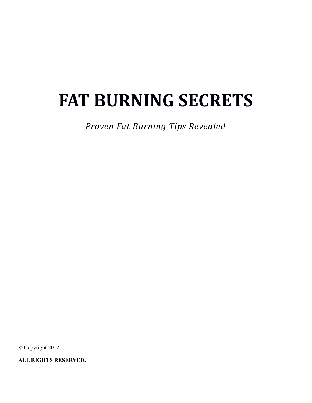# **FAT BURNING SECRETS**

*Proven Fat Burning Tips Revealed*

**©** Copyright 2012

**ALL RIGHTS RESERVED.**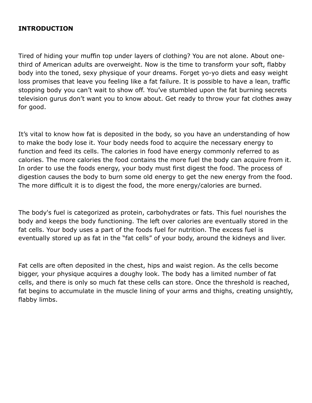#### **INTRODUCTION**

Tired of hiding your muffin top under layers of clothing? You are not alone. About onethird of American adults are overweight. Now is the time to transform your soft, flabby body into the toned, sexy physique of your dreams. Forget yo-yo diets and easy weight loss promises that leave you feeling like a fat failure. It is possible to have a lean, traffic stopping body you can't wait to show off. You've stumbled upon the fat burning secrets television gurus don't want you to know about. Get ready to throw your fat clothes away for good.

It's vital to know how fat is deposited in the body, so you have an understanding of how to make the body lose it. Your body needs food to acquire the necessary energy to function and feed its cells. The calories in food have energy commonly referred to as calories. The more calories the food contains the more fuel the body can acquire from it. In order to use the foods energy, your body must first digest the food. The process of digestion causes the body to burn some old energy to get the new energy from the food. The more difficult it is to digest the food, the more energy/calories are burned.

The body's fuel is categorized as protein, carbohydrates or fats. This fuel nourishes the body and keeps the body functioning. The left over calories are eventually stored in the fat cells. Your body uses a part of the foods fuel for nutrition. The excess fuel is eventually stored up as fat in the "fat cells" of your body, around the kidneys and liver.

Fat cells are often deposited in the chest, hips and waist region. As the cells become bigger, your physique acquires a doughy look. The body has a limited number of fat cells, and there is only so much fat these cells can store. Once the threshold is reached, fat begins to accumulate in the muscle lining of your arms and thighs, creating unsightly, flabby limbs.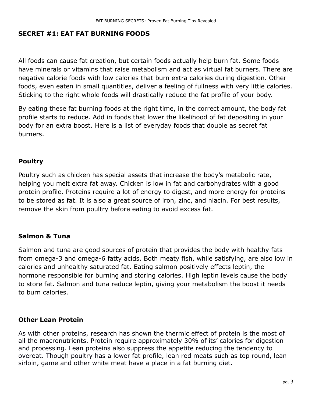#### **SECRET #1: EAT FAT BURNING FOODS**

All foods can cause fat creation, but certain foods actually help burn fat. Some foods have minerals or vitamins that raise metabolism and act as virtual fat burners. There are negative calorie foods with low calories that burn extra calories during digestion. Other foods, even eaten in small quantities, deliver a feeling of fullness with very little calories. Sticking to the right whole foods will drastically reduce the fat profile of your body.

By eating these fat burning foods at the right time, in the correct amount, the body fat profile starts to reduce. Add in foods that lower the likelihood of fat depositing in your body for an extra boost. Here is a list of everyday foods that double as secret fat burners.

#### **Poultry**

Poultry such as chicken has special assets that increase the body's metabolic rate, helping you melt extra fat away. Chicken is low in fat and carbohydrates with a good protein profile. Proteins require a lot of energy to digest, and more energy for proteins to be stored as fat. It is also a great source of iron, zinc, and niacin. For best results, remove the skin from poultry before eating to avoid excess fat.

#### **Salmon & Tuna**

Salmon and tuna are good sources of protein that provides the body with healthy fats from omega-3 and omega-6 fatty acids. Both meaty fish, while satisfying, are also low in calories and unhealthy saturated fat. Eating salmon positively effects leptin, the hormone responsible for burning and storing calories. High leptin levels cause the body to store fat. Salmon and tuna reduce leptin, giving your metabolism the boost it needs to burn calories.

#### **Other Lean Protein**

As with other proteins, research has shown the thermic effect of protein is the most of all the macronutrients. Protein require approximately 30% of its' calories for digestion and processing. Lean proteins also suppress the appetite reducing the tendency to overeat. Though poultry has a lower fat profile, lean red meats such as top round, lean sirloin, game and other white meat have a place in a fat burning diet.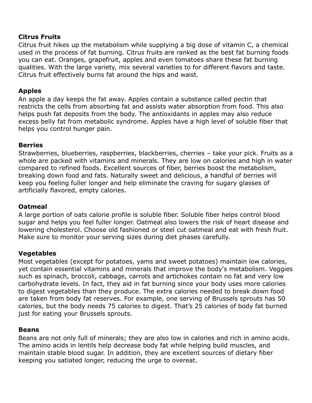#### **Citrus Fruits**

Citrus fruit hikes up the metabolism while supplying a big dose of vitamin C, a chemical used in the process of fat burning. Citrus fruits are ranked as the best fat burning foods you can eat. Oranges, grapefruit, apples and even tomatoes share these fat burning qualities. With the large variety, mix several varieties to for different flavors and taste. Citrus fruit effectively burns fat around the hips and waist.

#### **Apples**

An apple a day keeps the fat away. Apples contain a substance called pectin that restricts the cells from absorbing fat and assists water absorption from food. This also helps push fat deposits from the body. The antioxidants in apples may also reduce excess belly fat from metabolic syndrome. Apples have a high level of soluble fiber that helps you control hunger pain.

#### **Berries**

Strawberries, blueberries, raspberries, blackberries, cherries – take your pick. Fruits as a whole are packed with vitamins and minerals. They are low on calories and high in water compared to refined foods. Excellent sources of fiber, berries boost the metabolism, breaking down food and fats. Naturally sweet and delicious, a handful of berries will keep you feeling fuller longer and help eliminate the craving for sugary glasses of artificially flavored, empty calories.

#### **Oatmeal**

A large portion of oats calorie profile is soluble fiber. Soluble fiber helps control blood sugar and helps you feel fuller longer. Oatmeal also lowers the risk of heart disease and lowering cholesterol. Choose old fashioned or steel cut oatmeal and eat with fresh fruit. Make sure to monitor your serving sizes during diet phases carefully.

#### **Vegetables**

Most vegetables (except for potatoes, yams and sweet potatoes) maintain low calories, yet contain essential vitamins and minerals that improve the body's metabolism. Veggies such as spinach, broccoli, cabbage, carrots and artichokes contain no fat and very low carbohydrate levels. In fact, they aid in fat burning since your body uses more calories to digest vegetables than they produce. The extra calories needed to break down food are taken from body fat reserves. For example, one serving of Brussels sprouts has 50 calories, but the body needs 75 calories to digest. That's 25 calories of body fat burned just for eating your Brussels sprouts.

#### **Beans**

Beans are not only full of minerals; they are also low in calories and rich in amino acids. The amino acids in lentils help decrease body fat while helping build muscles, and maintain stable blood sugar. In addition, they are excellent sources of dietary fiber keeping you satiated longer, reducing the urge to overeat.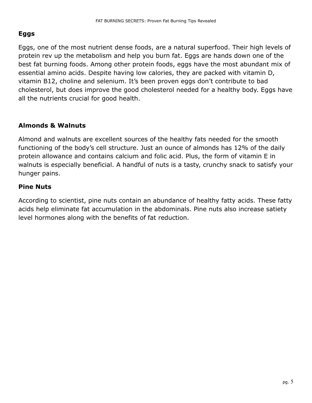# **Eggs**

Eggs, one of the most nutrient dense foods, are a natural superfood. Their high levels of protein rev up the metabolism and help you burn fat. Eggs are hands down one of the best fat burning foods. Among other protein foods, eggs have the most abundant mix of essential amino acids. Despite having low calories, they are packed with vitamin D, vitamin B12, choline and selenium. It's been proven eggs don't contribute to bad cholesterol, but does improve the good cholesterol needed for a healthy body. Eggs have all the nutrients crucial for good health.

# **Almonds & Walnuts**

Almond and walnuts are excellent sources of the healthy fats needed for the smooth functioning of the body's cell structure. Just an ounce of almonds has 12% of the daily protein allowance and contains calcium and folic acid. Plus, the form of vitamin E in walnuts is especially beneficial. A handful of nuts is a tasty, crunchy snack to satisfy your hunger pains.

#### **Pine Nuts**

According to scientist, pine nuts contain an abundance of healthy fatty acids. These fatty acids help eliminate fat accumulation in the abdominals. Pine nuts also increase satiety level hormones along with the benefits of fat reduction.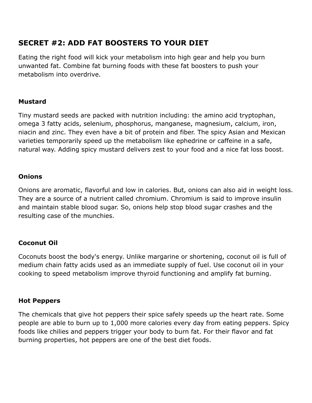# **SECRET #2: ADD FAT BOOSTERS TO YOUR DIET**

Eating the right food will kick your metabolism into high gear and help you burn unwanted fat. Combine fat burning foods with these fat boosters to push your metabolism into overdrive.

# **Mustard**

Tiny mustard seeds are packed with nutrition including: the amino acid tryptophan, omega 3 fatty acids, selenium, phosphorus, manganese, magnesium, calcium, iron, niacin and zinc. They even have a bit of protein and fiber. The spicy Asian and Mexican varieties temporarily speed up the metabolism like ephedrine or caffeine in a safe, natural way. Adding spicy mustard delivers zest to your food and a nice fat loss boost.

# **Onions**

Onions are aromatic, flavorful and low in calories. But, onions can also aid in weight loss. They are a source of a nutrient called chromium. Chromium is said to improve insulin and maintain stable blood sugar. So, onions help stop blood sugar crashes and the resulting case of the munchies.

# **Coconut Oil**

Coconuts boost the body's energy. Unlike margarine or shortening, coconut oil is full of medium chain fatty acids used as an immediate supply of fuel. Use coconut oil in your cooking to speed metabolism improve thyroid functioning and amplify fat burning.

#### **Hot Peppers**

The chemicals that give hot peppers their spice safely speeds up the heart rate. Some people are able to burn up to 1,000 more calories every day from eating peppers. Spicy foods like chilies and peppers trigger your body to burn fat. For their flavor and fat burning properties, hot peppers are one of the best diet foods.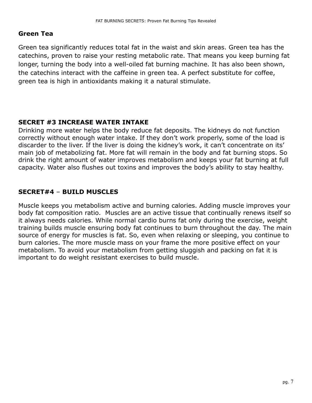#### **Green Tea**

Green tea significantly reduces total fat in the waist and skin areas. Green tea has the catechins, proven to raise your resting metabolic rate. That means you keep burning fat longer, turning the body into a well-oiled fat burning machine. It has also been shown, the catechins interact with the caffeine in green tea. A perfect substitute for coffee, green tea is high in antioxidants making it a natural stimulate.

#### **SECRET #3 INCREASE WATER INTAKE**

Drinking more water helps the body reduce fat deposits. The kidneys do not function correctly without enough water intake. If they don't work properly, some of the load is discarder to the liver. If the liver is doing the kidney's work, it can't concentrate on its' main job of metabolizing fat. More fat will remain in the body and fat burning stops. So drink the right amount of water improves metabolism and keeps your fat burning at full capacity. Water also flushes out toxins and improves the body's ability to stay healthy.

# **SECRET#4** – **BUILD MUSCLES**

Muscle keeps you metabolism active and burning calories. Adding muscle improves your body fat composition ratio. Muscles are an active tissue that continually renews itself so it always needs calories. While normal cardio burns fat only during the exercise, weight training builds muscle ensuring body fat continues to burn throughout the day. The main source of energy for muscles is fat. So, even when relaxing or sleeping, you continue to burn calories. The more muscle mass on your frame the more positive effect on your metabolism. To avoid your metabolism from getting sluggish and packing on fat it is important to do weight resistant exercises to build muscle.